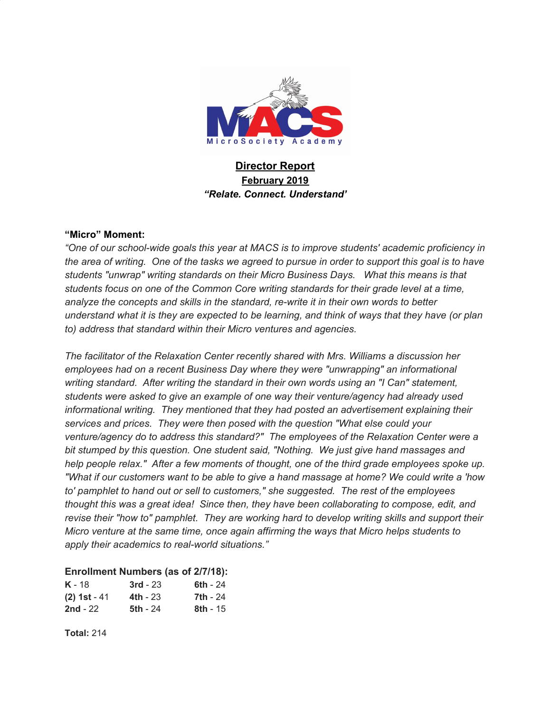

# **Director Report February 2019** *"Relate. Connect. Understand'*

#### **"Micro" Moment:**

*"One of our school-wide goals this year at MACS is to improve students' academic proficiency in* the area of writing. One of the tasks we agreed to pursue in order to support this goal is to have *students "unwrap" writing standards on their Micro Business Days. What this means is that students focus on one of the Common Core writing standards for their grade level at a time, analyze the concepts and skills in the standard, re-write it in their own words to better* understand what it is they are expected to be learning, and think of ways that they have (or plan *to) address that standard within their Micro ventures and agencies.*

*The facilitator of the Relaxation Center recently shared with Mrs. Williams a discussion her employees had on a recent Business Day where they were "unwrapping" an informational writing standard. After writing the standard in their own words using an "I Can" statement, students were asked to give an example of one way their venture/agency had already used informational writing. They mentioned that they had posted an advertisement explaining their services and prices. They were then posed with the question "What else could your venture/agency do to address this standard?" The employees of the Relaxation Center were a bit stumped by this question. One student said, "Nothing. We just give hand massages and help people relax." After a few moments of thought, one of the third grade employees spoke up.* "What if our customers want to be able to give a hand massage at home? We could write a 'how *to' pamphlet to hand out or sell to customers," she suggested. The rest of the employees thought this was a great idea! Since then, they have been collaborating to compose, edit, and revise their "how to" pamphlet. They are working hard to develop writing skills and support their Micro venture at the same time, once again affirming the ways that Micro helps students to apply their academics to real-world situations."*

#### **Enrollment Numbers (as of 2/7/18):**

| <b>K</b> - 18  | $3rd - 23$      | 6th - 24   |
|----------------|-----------------|------------|
| $(2)$ 1st - 41 | <b>4th</b> - 23 | 7th - 24   |
| 2nd - $22$     | <b>5th - 24</b> | $8th - 15$ |

**Total:** 214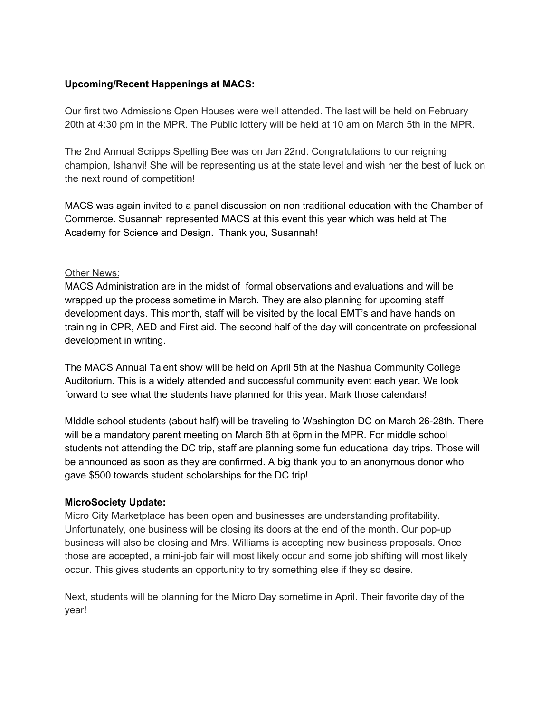## **Upcoming/Recent Happenings at MACS:**

Our first two Admissions Open Houses were well attended. The last will be held on February 20th at 4:30 pm in the MPR. The Public lottery will be held at 10 am on March 5th in the MPR.

The 2nd Annual Scripps Spelling Bee was on Jan 22nd. Congratulations to our reigning champion, Ishanvi! She will be representing us at the state level and wish her the best of luck on the next round of competition!

MACS was again invited to a panel discussion on non traditional education with the Chamber of Commerce. Susannah represented MACS at this event this year which was held at The Academy for Science and Design. Thank you, Susannah!

#### Other News:

MACS Administration are in the midst of formal observations and evaluations and will be wrapped up the process sometime in March. They are also planning for upcoming staff development days. This month, staff will be visited by the local EMT's and have hands on training in CPR, AED and First aid. The second half of the day will concentrate on professional development in writing.

The MACS Annual Talent show will be held on April 5th at the Nashua Community College Auditorium. This is a widely attended and successful community event each year. We look forward to see what the students have planned for this year. Mark those calendars!

MIddle school students (about half) will be traveling to Washington DC on March 26-28th. There will be a mandatory parent meeting on March 6th at 6pm in the MPR. For middle school students not attending the DC trip, staff are planning some fun educational day trips. Those will be announced as soon as they are confirmed. A big thank you to an anonymous donor who gave \$500 towards student scholarships for the DC trip!

# **MicroSociety Update:**

Micro City Marketplace has been open and businesses are understanding profitability. Unfortunately, one business will be closing its doors at the end of the month. Our pop-up business will also be closing and Mrs. Williams is accepting new business proposals. Once those are accepted, a mini-job fair will most likely occur and some job shifting will most likely occur. This gives students an opportunity to try something else if they so desire.

Next, students will be planning for the Micro Day sometime in April. Their favorite day of the year!